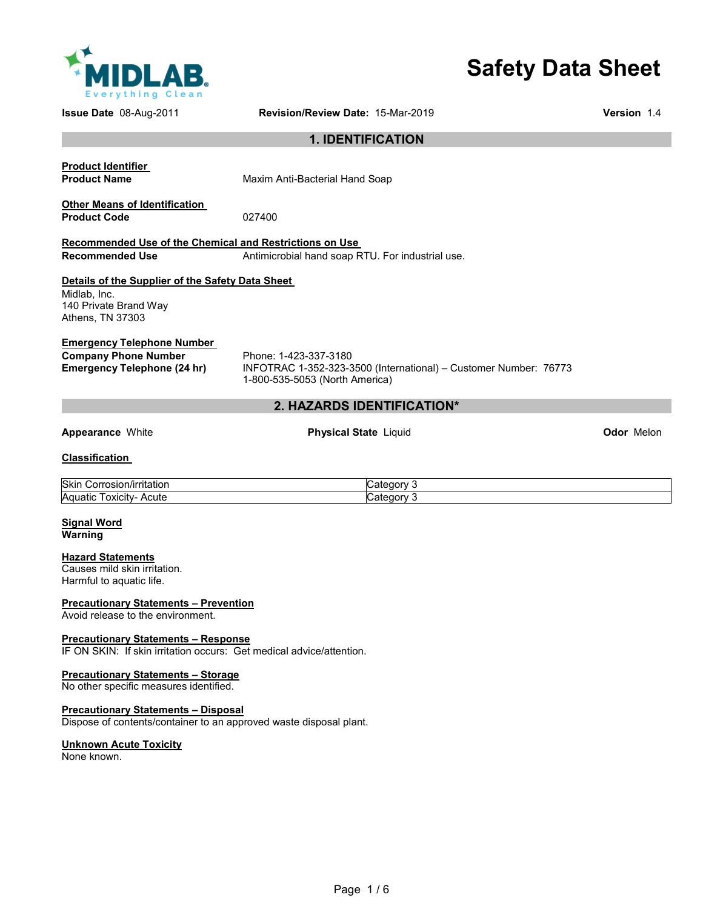

# **Safety Data Sheet**

**Issue Date** 08-Aug-2011 **Revision/Review Date:** 15-Mar-2019 **Version** 1.4

# **1. IDENTIFICATION**

**Product Identifier** 

**Product Name Maxim Anti-Bacterial Hand Soap** 

#### **Other Means of Identification Product Code** 027400

#### **Recommended Use of the Chemical and Restrictions on Use Recommended Use** Antimicrobial hand soap RTU. For industrial use.

# **Details of the Supplier of the Safety Data Sheet**  Midlab, Inc.

140 Private Brand Way Athens, TN 37303

# **Emergency Telephone Number**

**Company Phone Number** Phone: 1-423-337-3180<br> **Emergency Telephone (24 hr)** INFOTRAC 1-352-323-3

**Emergency Telephone (24 hr)** INFOTRAC 1-352-323-3500 (International) – Customer Number: 76773 1-800-535-5053 (North America)

# **2. HAZARDS IDENTIFICATION\***

**Appearance** White **Physical State** Liquid **Odor** Melon

# **Classification**

| Skin<br>חסוhrritation<br>rosion,<br>COLL. | ategor: |
|-------------------------------------------|---------|
| Aquatic<br>. .<br>Acute<br>l oxicity      | atenor  |

#### **Signal Word Warning**

# **Hazard Statements**

Causes mild skin irritation. Harmful to aquatic life.

### **Precautionary Statements – Prevention**

Avoid release to the environment.

### **Precautionary Statements – Response**

IF ON SKIN: If skin irritation occurs: Get medical advice/attention.

### **Precautionary Statements – Storage**

No other specific measures identified.

### **Precautionary Statements – Disposal**

Dispose of contents/container to an approved waste disposal plant.

### **Unknown Acute Toxicity**

None known.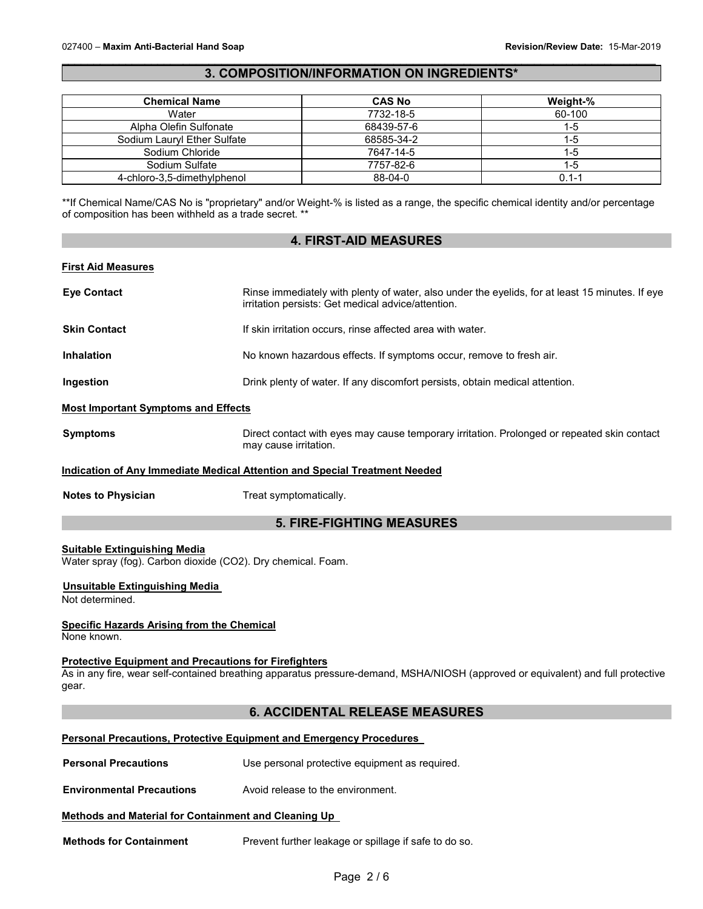## \_\_\_\_\_\_\_\_\_\_\_\_\_\_\_\_\_\_\_\_\_\_\_\_\_\_\_\_\_\_\_\_\_\_\_\_\_\_\_\_\_\_\_\_\_\_\_\_\_\_\_\_\_\_\_\_\_\_\_\_\_\_\_\_\_\_\_\_\_\_\_\_\_\_\_\_\_\_\_\_\_\_\_\_\_\_\_\_\_\_\_\_\_ **3. COMPOSITION/INFORMATION ON INGREDIENTS\***

| <b>Chemical Name</b>        | <b>CAS No</b> | Weight-%  |
|-----------------------------|---------------|-----------|
| Water                       | 7732-18-5     | 60-100    |
| Alpha Olefin Sulfonate      | 68439-57-6    | 1-5       |
| Sodium Lauryl Ether Sulfate | 68585-34-2    | 1-5       |
| Sodium Chloride             | 7647-14-5     | 1-5       |
| Sodium Sulfate              | 7757-82-6     | 1-5       |
| 4-chloro-3,5-dimethylphenol | $88 - 04 - 0$ | $0.1 - 1$ |

\*\*If Chemical Name/CAS No is "proprietary" and/or Weight-% is listed as a range, the specific chemical identity and/or percentage of composition has been withheld as a trade secret. \*\*

# **4. FIRST-AID MEASURES First Aid Measures Eye Contact** Rinse immediately with plenty of water, also under the eyelids, for at least 15 minutes. If eye irritation persists: Get medical advice/attention. **Skin Contact If skin irritation occurs, rinse affected area with water. Inhalation No known hazardous effects. If symptoms occur, remove to fresh air. Ingestion Installer in a Drink plenty of water. If any discomfort persists, obtain medical attention. Most Important Symptoms and Effects Symptoms** Direct contact with eyes may cause temporary irritation. Prolonged or repeated skin contact may cause irritation.

#### **Indication of Any Immediate Medical Attention and Special Treatment Needed**

**Notes to Physician**  Treat symptomatically.

# **5. FIRE-FIGHTING MEASURES**

#### **Suitable Extinguishing Media**

Water spray (fog). Carbon dioxide (CO2). Dry chemical. Foam.

# **Unsuitable Extinguishing Media**

Not determined.

# **Specific Hazards Arising from the Chemical**

None known.

## **Protective Equipment and Precautions for Firefighters**

As in any fire, wear self-contained breathing apparatus pressure-demand, MSHA/NIOSH (approved or equivalent) and full protective gear.

# **6. ACCIDENTAL RELEASE MEASURES**

## **Personal Precautions, Protective Equipment and Emergency Procedures**

**Personal Precautions Use personal protective equipment as required.** 

**Environmental Precautions** Avoid release to the environment.

#### **Methods and Material for Containment and Cleaning Up**

**Methods for Containment** Prevent further leakage or spillage if safe to do so.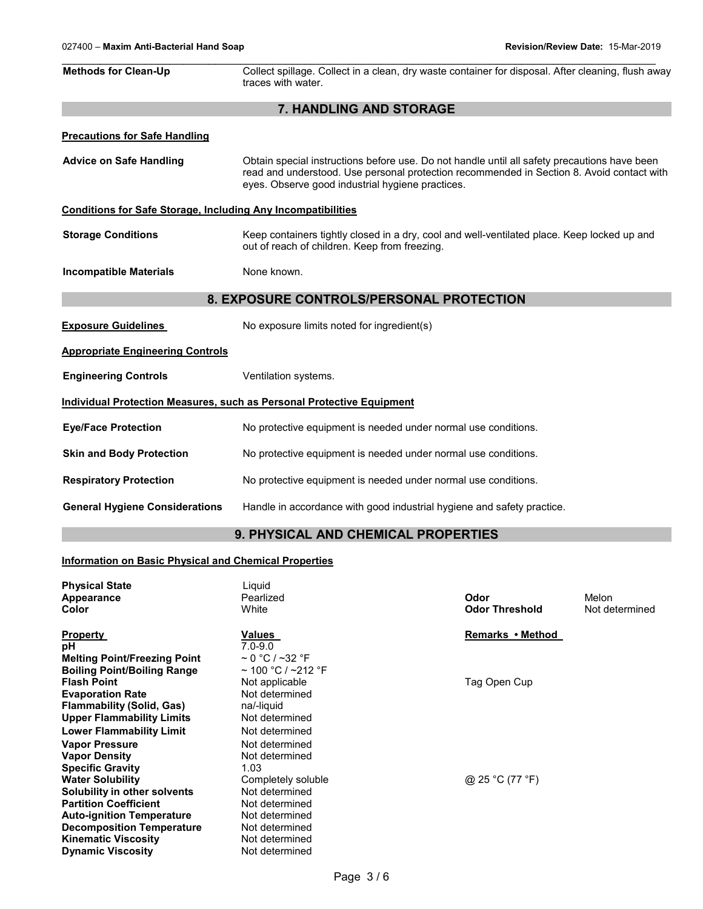| <b>Methods for Clean-Up</b>                                                  | Collect spillage. Collect in a clean, dry waste container for disposal. After cleaning, flush away                                                                                                                                            |
|------------------------------------------------------------------------------|-----------------------------------------------------------------------------------------------------------------------------------------------------------------------------------------------------------------------------------------------|
|                                                                              | traces with water.                                                                                                                                                                                                                            |
|                                                                              | 7. HANDLING AND STORAGE                                                                                                                                                                                                                       |
| <b>Precautions for Safe Handling</b>                                         |                                                                                                                                                                                                                                               |
| <b>Advice on Safe Handling</b>                                               | Obtain special instructions before use. Do not handle until all safety precautions have been<br>read and understood. Use personal protection recommended in Section 8. Avoid contact with<br>eyes. Observe good industrial hygiene practices. |
| <b>Conditions for Safe Storage, Including Any Incompatibilities</b>          |                                                                                                                                                                                                                                               |
| <b>Storage Conditions</b>                                                    | Keep containers tightly closed in a dry, cool and well-ventilated place. Keep locked up and<br>out of reach of children. Keep from freezing.                                                                                                  |
| <b>Incompatible Materials</b>                                                | None known.                                                                                                                                                                                                                                   |
|                                                                              | 8. EXPOSURE CONTROLS/PERSONAL PROTECTION                                                                                                                                                                                                      |
| <b>Exposure Guidelines</b>                                                   | No exposure limits noted for ingredient(s)                                                                                                                                                                                                    |
| <b>Appropriate Engineering Controls</b>                                      |                                                                                                                                                                                                                                               |
| <b>Engineering Controls</b>                                                  | Ventilation systems.                                                                                                                                                                                                                          |
| <b>Individual Protection Measures, such as Personal Protective Equipment</b> |                                                                                                                                                                                                                                               |
| <b>Eye/Face Protection</b>                                                   | No protective equipment is needed under normal use conditions.                                                                                                                                                                                |
| <b>Skin and Body Protection</b>                                              | No protective equipment is needed under normal use conditions.                                                                                                                                                                                |
| <b>Respiratory Protection</b>                                                | No protective equipment is needed under normal use conditions.                                                                                                                                                                                |
| <b>General Hygiene Considerations</b>                                        | Handle in accordance with good industrial hygiene and safety practice.                                                                                                                                                                        |

# **9. PHYSICAL AND CHEMICAL PROPERTIES**

## **Information on Basic Physical and Chemical Properties**

| <b>Physical State</b>               | Liguid                  |                       |                |
|-------------------------------------|-------------------------|-----------------------|----------------|
| Appearance                          | Pearlized               | Odor                  | Melon          |
| Color                               | White                   | <b>Odor Threshold</b> | Not determined |
| <b>Property</b>                     | Values                  | Remarks • Method      |                |
| рH                                  | $7.0 - 9.0$             |                       |                |
| <b>Melting Point/Freezing Point</b> | $\sim$ 0 °C / ~32 °F    |                       |                |
| <b>Boiling Point/Boiling Range</b>  | $\sim$ 100 °C / ~212 °F |                       |                |
| <b>Flash Point</b>                  | Not applicable          | Tag Open Cup          |                |
| <b>Evaporation Rate</b>             | Not determined          |                       |                |
| <b>Flammability (Solid, Gas)</b>    | na/-liquid              |                       |                |
| <b>Upper Flammability Limits</b>    | Not determined          |                       |                |
| <b>Lower Flammability Limit</b>     | Not determined          |                       |                |
| <b>Vapor Pressure</b>               | Not determined          |                       |                |
| <b>Vapor Density</b>                | Not determined          |                       |                |
| <b>Specific Gravity</b>             | 1.03                    |                       |                |
| <b>Water Solubility</b>             | Completely soluble      | @ 25 °C (77 °F)       |                |
| Solubility in other solvents        | Not determined          |                       |                |
| <b>Partition Coefficient</b>        | Not determined          |                       |                |
| <b>Auto-ignition Temperature</b>    | Not determined          |                       |                |
| <b>Decomposition Temperature</b>    | Not determined          |                       |                |
| <b>Kinematic Viscosity</b>          | Not determined          |                       |                |
| <b>Dynamic Viscosity</b>            | Not determined          |                       |                |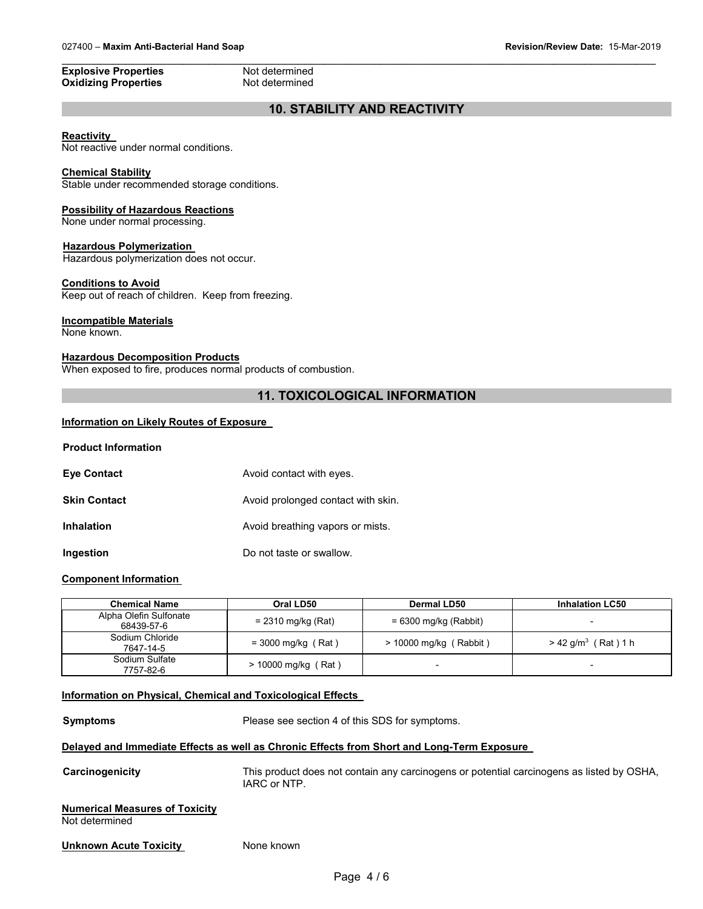#### **Explosive Properties Not determined**<br> **Oxidizing Properties Not determined Oxidizing Properties**

\_\_\_\_\_\_\_\_\_\_\_\_\_\_\_\_\_\_\_\_\_\_\_\_\_\_\_\_\_\_\_\_\_\_\_\_\_\_\_\_\_\_\_\_\_\_\_\_\_\_\_\_\_\_\_\_\_\_\_\_\_\_\_\_\_\_\_\_\_\_\_\_\_\_\_\_\_\_\_\_\_\_\_\_\_\_\_\_\_\_\_\_\_

# **10. STABILITY AND REACTIVITY**

#### **Reactivity**

Not reactive under normal conditions.

#### **Chemical Stability**

Stable under recommended storage conditions.

#### **Possibility of Hazardous Reactions**

None under normal processing.

#### **Hazardous Polymerization**

Hazardous polymerization does not occur.

#### **Conditions to Avoid**

Keep out of reach of children. Keep from freezing.

## **Incompatible Materials**

None known.

# **Hazardous Decomposition Products**

When exposed to fire, produces normal products of combustion.

# **11. TOXICOLOGICAL INFORMATION**

## **Information on Likely Routes of Exposure**

| <b>Eve Contact</b>  | Avoid contact with eyes.           |
|---------------------|------------------------------------|
| <b>Skin Contact</b> | Avoid prolonged contact with skin. |
| <b>Inhalation</b>   | Avoid breathing vapors or mists.   |
| Ingestion           | Do not taste or swallow.           |

### **Component Information**

| <b>Chemical Name</b>                 | Oral LD50             | Dermal LD50              | <b>Inhalation LC50</b>            |
|--------------------------------------|-----------------------|--------------------------|-----------------------------------|
| Alpha Olefin Sulfonate<br>68439-57-6 | $= 2310$ mg/kg (Rat)  | $= 6300$ mg/kg (Rabbit)  |                                   |
| Sodium Chloride<br>7647-14-5         | $=$ 3000 mg/kg (Rat)  | $>$ 10000 mg/kg (Rabbit) | $> 42$ g/m <sup>3</sup> (Rat) 1 h |
| Sodium Sulfate<br>7757-82-6          | $> 10000$ mg/kg (Rat) |                          |                                   |

# **Information on Physical, Chemical and Toxicological Effects**

**Symptoms** Please see section 4 of this SDS for symptoms. **Delayed and Immediate Effects as well as Chronic Effects from Short and Long-Term Exposure Carcinogenicity** This product does not contain any carcinogens or potential carcinogens as listed by OSHA, IARC or NTP. **Numerical Measures of Toxicity** Not determined **Unknown Acute Toxicity None known**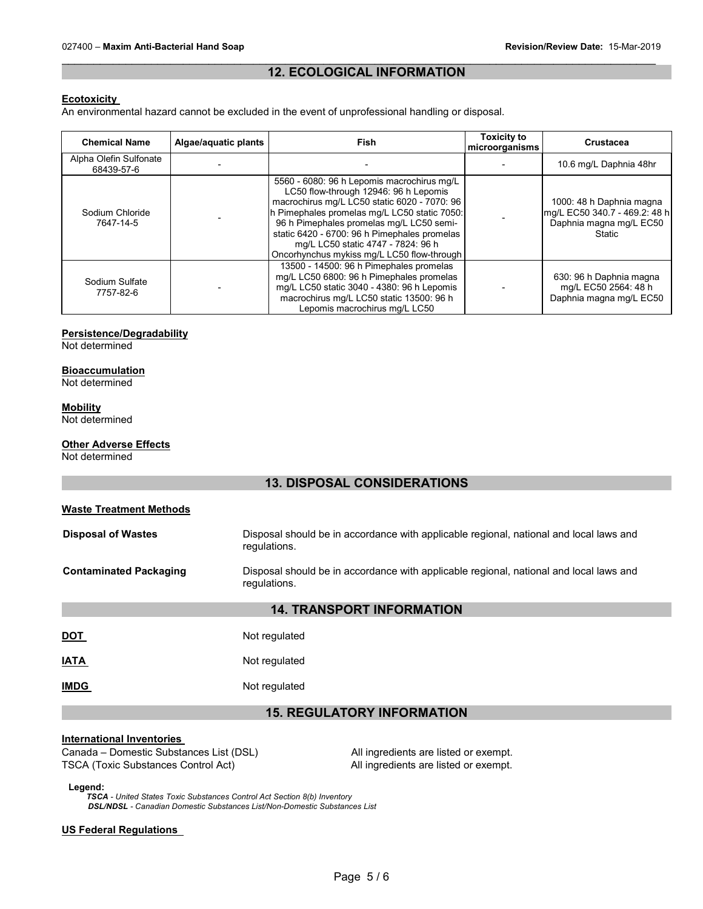### \_\_\_\_\_\_\_\_\_\_\_\_\_\_\_\_\_\_\_\_\_\_\_\_\_\_\_\_\_\_\_\_\_\_\_\_\_\_\_\_\_\_\_\_\_\_\_\_\_\_\_\_\_\_\_\_\_\_\_\_\_\_\_\_\_\_\_\_\_\_\_\_\_\_\_\_\_\_\_\_\_\_\_\_\_\_\_\_\_\_\_\_\_ **12. ECOLOGICAL INFORMATION**

#### **Ecotoxicity**

An environmental hazard cannot be excluded in the event of unprofessional handling or disposal.

| <b>Chemical Name</b>                 | Algae/aquatic plants | <b>Fish</b>                                                                                                                                                                                                                                                                                                                                                         | <b>Toxicity to</b><br>microorganisms | <b>Crustacea</b>                                                                               |
|--------------------------------------|----------------------|---------------------------------------------------------------------------------------------------------------------------------------------------------------------------------------------------------------------------------------------------------------------------------------------------------------------------------------------------------------------|--------------------------------------|------------------------------------------------------------------------------------------------|
| Alpha Olefin Sulfonate<br>68439-57-6 |                      |                                                                                                                                                                                                                                                                                                                                                                     |                                      | 10.6 mg/L Daphnia 48hr                                                                         |
| Sodium Chloride<br>7647-14-5         |                      | 5560 - 6080: 96 h Lepomis macrochirus mg/L<br>LC50 flow-through 12946: 96 h Lepomis<br>macrochirus mg/L LC50 static 6020 - 7070: 96<br>h Pimephales promelas mg/L LC50 static 7050:<br>96 h Pimephales promelas mg/L LC50 semi-<br>static 6420 - 6700: 96 h Pimephales promelas<br>mg/L LC50 static 4747 - 7824: 96 h<br>Oncorhynchus mykiss mg/L LC50 flow-through |                                      | 1000: 48 h Daphnia magna<br>mg/L EC50 340.7 - 469.2: 48 h<br>Daphnia magna mg/L EC50<br>Static |
| Sodium Sulfate<br>7757-82-6          |                      | 13500 - 14500: 96 h Pimephales promelas<br>mg/L LC50 6800: 96 h Pimephales promelas<br>mg/L LC50 static 3040 - 4380: 96 h Lepomis<br>macrochirus mg/L LC50 static 13500: 96 h<br>Lepomis macrochirus mg/L LC50                                                                                                                                                      |                                      | 630: 96 h Daphnia magna<br>mg/L EC50 2564: 48 h<br>Daphnia magna mg/L EC50                     |

## **Persistence/Degradability**

Not determined

# **Bioaccumulation**

Not determined

## **Mobility**

Not determined

# **Other Adverse Effects**

Not determined

# **13. DISPOSAL CONSIDERATIONS**

| <b>Waste Treatment Methods</b>   |                                                                                                        |  |  |
|----------------------------------|--------------------------------------------------------------------------------------------------------|--|--|
| <b>Disposal of Wastes</b>        | Disposal should be in accordance with applicable regional, national and local laws and<br>regulations. |  |  |
| <b>Contaminated Packaging</b>    | Disposal should be in accordance with applicable regional, national and local laws and<br>requiations. |  |  |
| <b>14. TRANSPORT INFORMATION</b> |                                                                                                        |  |  |
| <u>DOT</u>                       | Not regulated                                                                                          |  |  |
| <b>IATA</b>                      | Not regulated                                                                                          |  |  |
| <b>IMDG</b>                      | Not regulated                                                                                          |  |  |
|                                  | <b>15. REGULATORY INFORMATION</b>                                                                      |  |  |

#### **International Inventories**

Canada – Domestic Substances List (DSL) All ingredients are listed or exempt. TSCA (Toxic Substances Control Act) All ingredients are listed or exempt.

**Legend:**

*TSCA - United States Toxic Substances Control Act Section 8(b) Inventory DSL/NDSL - Canadian Domestic Substances List/Non-Domestic Substances List*

#### **US Federal Regulations**